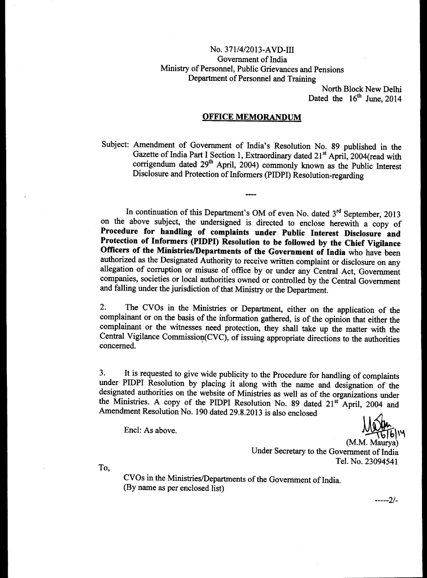# No. 371/4/2013-AVD-III Government of India Ministry of Personnel, Public Grievances and Pensions Department of Personnel and Training

North Block New Delhi Dated the  $16<sup>th</sup>$  June, 2014

### **OFFICE MEMORANDUM**

Subject: Amendment of Government of India's Resolution No. 89 published in the Gazette of India Part I Section 1, Extraordinary dated 21<sup>st</sup> April, 2004(read with corrigendum dated 29<sup>th</sup> April, 2004) commonly known as the Public Interest Disclosure and Protection of Informers (PIDPI) Resolution-regarding

In continuation of this Department's OM of even No. dated  $3<sup>rd</sup>$  September, 2013 on the above subject, the undersigned is directed to enclose herewith a copy of **Procedure for handling of complaints under Public Interest Disclosure and Protection of Informers (PIDPI) Resolution to be followed by the Chief Vigilance Officers of the Ministries/Departments of the Government of India** who have been authorized as the Designated Authority to receive written complaint or disclosure on any allegation of corruption or misuse of office by or under any Central Act, Government companies, societies or local authorities owned or controlled by the Central Government and falling under the jurisdiction of that Ministry or the Department.

2. The CVOs in the Ministries or Department, either on the application of the complainant or on the basis of the information gathered, is of the opinion that either the complainant or the witnesses need protection, they shall take up the matter with the Central Vigilance Commission(CVC), of issuing appropriate directions to the authorities concerned.

3. It is requested to give wide publicity to the Procedure for handling of complaints under PIDPI Resolution by placing it along with the name and designation of the designated authorities on the website of Ministries as well as of the organizations under the Ministries. A copy of the PIDPI Resolution No. 89 dated  $21<sup>st</sup>$  April, 2004 and Amendment Resolution No. 190 dated 29.8.2013 is also enclosed

Encl: As above.

(M.M. Maurya) Under Secretary to the Government of India Tel. No. 23094541

To,

CVOs in the Ministries/Departments of the Government of India. (By name as per enclosed list)

2/-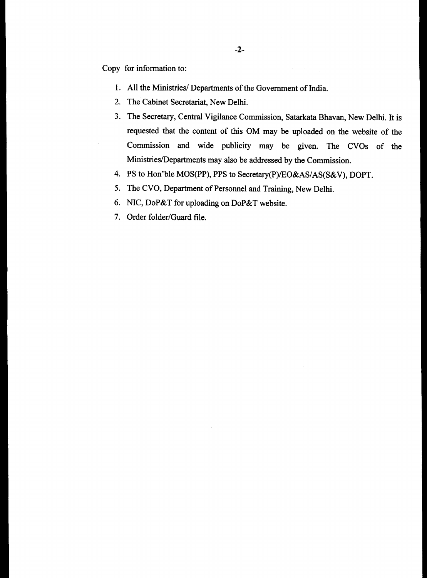Copy for information to:

- 1. All the Ministries/ Departments of the Government of India.
- 2. The Cabinet Secretariat, New Delhi.
- 3. The Secretary, Central Vigilance Commission, Satarkata Bhavan, New Delhi. It is requested that the content of this OM may be uploaded on the website of the Commission and wide publicity may be given. The CVOs of the Ministries/Departments may also be addressed by the Commission.
- 4. PS to Hon'ble MOS(PP), PPS to Secretary(P)/EO&AS/AS(S&V), DOPT.
- 5. The CVO, Department of Personnel and Training, New Delhi.
- 6. NIC, DoP&T for uploading on DoP&T website.
- 7. Order folder/Guard file.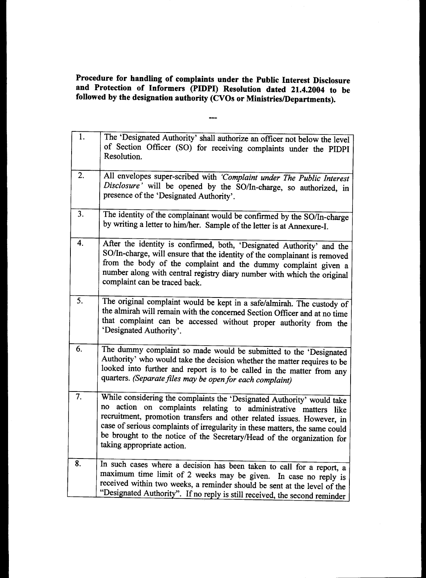**Procedure for handling of complaints under the Public Interest Disclosure and Protection of Informers (PIDPI) Resolution dated 21.4.2004 to be followed by the designation authority (CVOs or Ministries/Departments).** 

| 1. | The 'Designated Authority' shall authorize an officer not below the level<br>of Section Officer (SO) for receiving complaints under the PIDPI<br>Resolution.                                                                                                                                                                                                                                                  |
|----|---------------------------------------------------------------------------------------------------------------------------------------------------------------------------------------------------------------------------------------------------------------------------------------------------------------------------------------------------------------------------------------------------------------|
| 2. | All envelopes super-scribed with 'Complaint under The Public Interest<br>Disclosure' will be opened by the SO/In-charge, so authorized, in<br>presence of the 'Designated Authority'.                                                                                                                                                                                                                         |
| 3. | The identity of the complainant would be confirmed by the SO/In-charge<br>by writing a letter to him/her. Sample of the letter is at Annexure-I.                                                                                                                                                                                                                                                              |
| 4. | After the identity is confirmed, both, 'Designated Authority' and the<br>SO/In-charge, will ensure that the identity of the complainant is removed<br>from the body of the complaint and the dummy complaint given a<br>number along with central registry diary number with which the original<br>complaint can be traced back.                                                                              |
| 5. | The original complaint would be kept in a safe/almirah. The custody of<br>the almirah will remain with the concerned Section Officer and at no time<br>that complaint can be accessed without proper authority from the<br>'Designated Authority'.                                                                                                                                                            |
| 6. | The dummy complaint so made would be submitted to the 'Designated<br>Authority' who would take the decision whether the matter requires to be<br>looked into further and report is to be called in the matter from any<br>quarters. (Separate files may be open for each complaint)                                                                                                                           |
| 7. | While considering the complaints the 'Designated Authority' would take<br>action on complaints relating to administrative matters like<br>no<br>recruitment, promotion transfers and other related issues. However, in<br>case of serious complaints of irregularity in these matters, the same could<br>be brought to the notice of the Secretary/Head of the organization for<br>taking appropriate action. |
| 8. | In such cases where a decision has been taken to call for a report, a<br>maximum time limit of 2 weeks may be given. In case no reply is<br>received within two weeks, a reminder should be sent at the level of the<br>"Designated Authority". If no reply is still received, the second reminder                                                                                                            |

 $\overline{\phantom{a}}$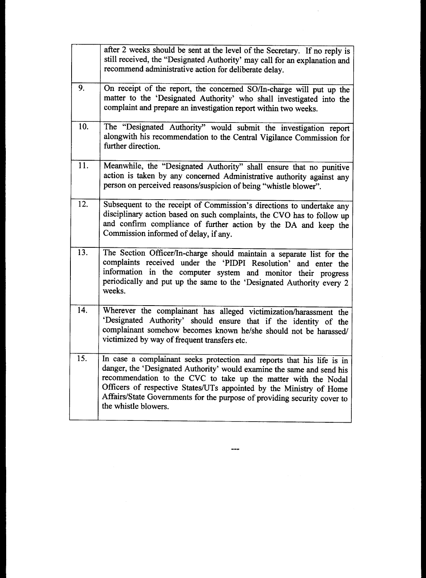| after 2 weeks should be sent at the level of the Secretary. If no reply is<br>still received, the "Designated Authority' may call for an explanation and<br>recommend administrative action for deliberate delay.                                                                                                                                                                             |
|-----------------------------------------------------------------------------------------------------------------------------------------------------------------------------------------------------------------------------------------------------------------------------------------------------------------------------------------------------------------------------------------------|
| On receipt of the report, the concerned SO/In-charge will put up the<br>matter to the 'Designated Authority' who shall investigated into the<br>complaint and prepare an investigation report within two weeks.                                                                                                                                                                               |
| The "Designated Authority" would submit the investigation report<br>alongwith his recommendation to the Central Vigilance Commission for<br>further direction.                                                                                                                                                                                                                                |
| Meanwhile, the "Designated Authority" shall ensure that no punitive<br>action is taken by any concerned Administrative authority against any<br>person on perceived reasons/suspicion of being "whistle blower".                                                                                                                                                                              |
| Subsequent to the receipt of Commission's directions to undertake any<br>disciplinary action based on such complaints, the CVO has to follow up<br>and confirm compliance of further action by the DA and keep the<br>Commission informed of delay, if any.                                                                                                                                   |
| The Section Officer/In-charge should maintain a separate list for the<br>complaints received under the 'PIDPI Resolution' and enter the<br>information in the computer system and monitor their progress<br>periodically and put up the same to the 'Designated Authority every 2<br>weeks.                                                                                                   |
| Wherever the complainant has alleged victimization/harassment the<br>'Designated Authority' should ensure that if the identity of the<br>complainant somehow becomes known he/she should not be harassed/<br>victimized by way of frequent transfers etc.                                                                                                                                     |
| In case a complainant seeks protection and reports that his life is in<br>danger, the 'Designated Authority' would examine the same and send his<br>recommendation to the CVC to take up the matter with the Nodal<br>Officers of respective States/UTs appointed by the Ministry of Home<br>Affairs/State Governments for the purpose of providing security cover to<br>the whistle blowers. |
|                                                                                                                                                                                                                                                                                                                                                                                               |

 $\label{eq:2.1} \frac{1}{\sqrt{2\pi}}\int_{0}^{\infty}\frac{1}{\sqrt{2\pi}}\left(\frac{1}{\sqrt{2\pi}}\right)^{2\pi}d\mu_{\rm{eff}}\,d\mu_{\rm{eff}}$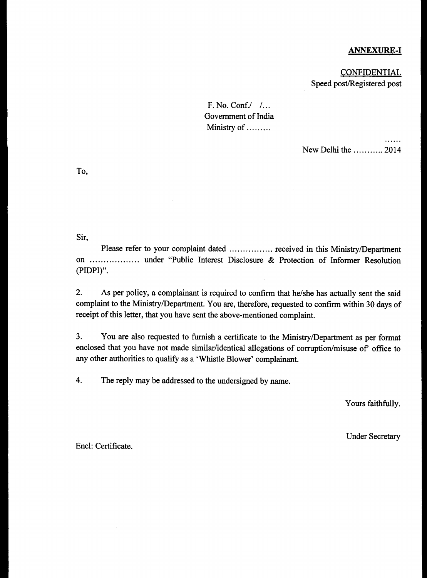# ANNEXURE-I

 $\cdots$ 

**CONFIDENTIAL** Speed post/Registered post

F. No. Conf./ / Government of India Ministry of .........

New Delhi the  $\ldots$  2014

To,

Sir,

Please refer to your complaint dated ................ received in this Ministry/Department on .................. under "Public Interest Disclosure & Protection of Informer Resolution (PIDPI)".

2. As per policy, a complainant is required to confirm that he/she has actually sent the said complaint to the Ministry/Department. You are, therefore, requested to confirm within 30 days of receipt of this letter, that you have sent the above-mentioned complaint.

3. You are also requested to furnish a certificate to the Ministry/Department as per format enclosed that you have not made similar/identical allegations of corruption/misuse of' office to any other authorities to qualify as a 'Whistle Blower' complainant.

4. The reply may be addressed to the undersigned by name.

Yours faithfully.

Under Secretary

Encl: Certificate.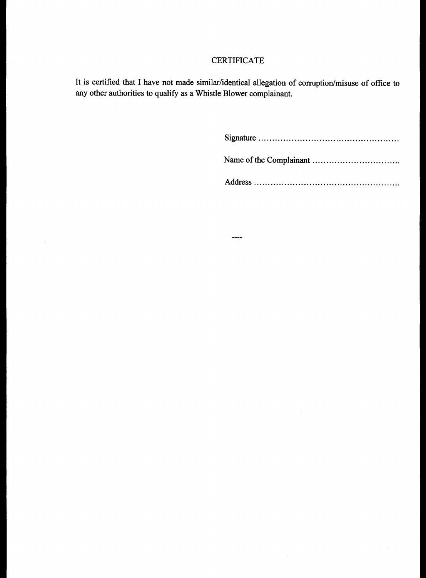# CERTIFICATE

It is certified that I have not made similar/identical allegation of corruption/misuse of office to any other authorities to qualify as a Whistle Blower complainant.

 $\cdots$ 

 $\hat{\mathcal{A}}$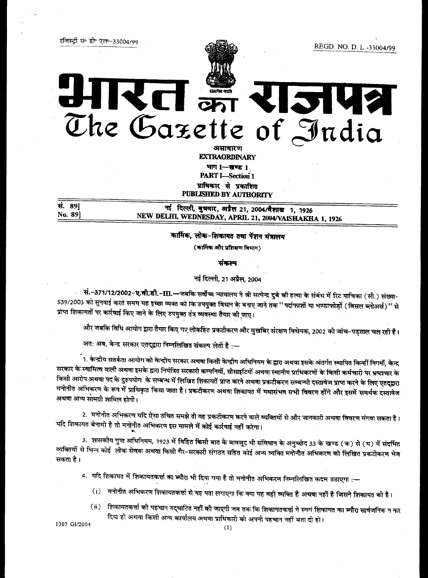REGD. NO. D. L.-33004/99



# $\overline{\mathbf{C}}$   $\overline{\mathbf{C}}$ 2142 The Gazette of India

असाधारण **EXTRAORDINARY** भाग 1-खण्ड 1

**PART I-Section 1** प्राधिकार से प्रकाशित

**PUBLISHED BY AUTHORITY** 

नई दिल्ली, बुधवार, अप्रैल 21, 2004/वैशाख 1, 1926 NEW DELHI, WEDNESDAY, APRIL 21, 2004/VAISHAKHA 1, 1926

कार्मिक, लोक-शिकायत तथा पेंशन मंत्रालय

(कार्मिक और प्रशिक्षण विभाग)

संकल्प

नई दिल्ली, 21 अप्रैल, 2004

सं.-371/12/2002-**ए.वी.डी.-III.—**जबकि सर्वोच्च न्यायालय ने श्री सत्येन्द्र दुबे की हत्या के संबंध में रिट याचिका (सी.) संख्या-539/2003 को सुनवाई करते समय यह इच्छा व्यक्त को कि उपयुक्त विधान के बनाए जाने तक '' पर्दाफाशों या भण्डाफोड़ों (विसल ब्लोअर्स)'' से प्राप्त शिकायतों पर कार्रवाई किए जाने के लिए उपयुक्त तंत्र व्यवस्था तैयार की जाए।

और जबकि विधि आयोग द्वारा तैयार किए गए लोकहित प्रकटीकरण और मुखबिर संरक्षण विधेयक, 2002 की जांच-पड़ताल चल रही है।

अतः अब, केन्द्र सरकार एतद्द्वारा निम्नलिखित संकल्प लेती है :-

रजिस्टी सं॰ डी॰ एल॰-33004/99

सं. 89]

No. 891

।. केन्द्रीय सतर्कता आयोग को केन्द्रीय सरकार <mark>अथवा किसी केन्द्री</mark>य अधिनियम के द्वारा अथवा इसके अंतर्गत स्थापित किन्हीं निगमों, केन्द्र सरकार के स्वामित्व वाली अथवा इसके द्वारा नियंत्रित सरकारी कम्पनियों, सोसाइटियों अथवा स्थानीय प्राधिकरणों के किसी कर्मचारी पर भ्रष्टाचार के किसी आरोप अथवा पद के दुरुपयोग के सम्बन्ध में लिखित शिकायतें प्राप्त करने अथवा प्रकटीकरण सम्बन्धी दस्तावेज प्राप्त करने के लिए एतद्द्वारा मनोनीत अभिकरण के रूप में प्राधिकृत किया जाता है। प्रकटीकरण अथवा शिकायत में यथासंभव सभी विवरण होंगे और इसमें समर्थक दस्तावेज अथवा अन्य सामग्री शामिल होगी।

2. मनोनीत अभिकरण यदि ऐसा उचित समझे <mark>तो वह प्र</mark>कटीकरण करने वाले व्यक्तियों से और जानकारी अथवा विवरण मंगवा सकता है। यदि शिकायत बेनामी है तो मनोनीत अभिकरण इस मामले में कोई कार्रवाई नहीं करेगा।

3. शासकीय गुप्त अधिनियम, 1923 में विहित किसी बात के बावजूद भी संविधान के अनुच्छेद 33 के खण्ड (क) से (घ) में संदर्भित व्यक्तियों से भिन्न कोई लोक सेवक अथवा किसी गैर-सरकारी संगठन सहित कोई अन्य व्यक्ति मनोनीत अभिकरण को लिखित प्रकटीकरण भेज सकता है।

4. यदि शिकायत में शिकायतकर्त्ता का ब्यौरा भी दिया गया है तो मनोनीत अभिकरण निम्नलिखित कदम उठाएगा :--

- (i) मनोनीत अभिकरण शिकायतकर्त्ता से यह पता लगाएगा कि क्या यह वही व्यक्ति है अथवा नहीं है जिसने शिकायत की है।
- (ii) शिकायतकर्त्ता की पहचान उद्घाटित नहीं की जाएगी जब तक कि शिकायतकर्त्ता ने स्वयं शिकायत का ब्यौरा सार्वजनिक न कर दिया हो अथवा किसी अन्य कार्यालय अथवा प्राधिकारी को अपनी पहचान नहीं बता दी हो।

1305 GI/2004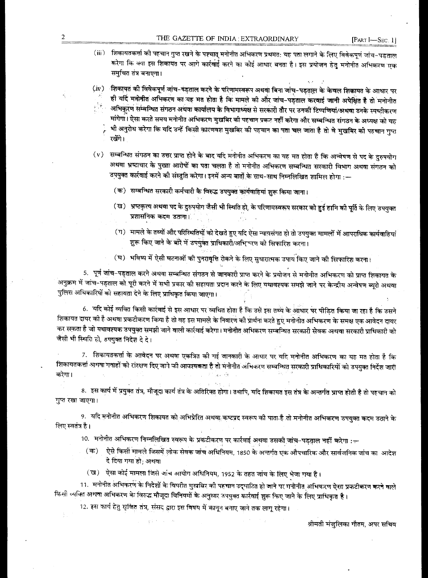(iii) शिकायतकर्त्ता की पहचान गुप्त रखने के पश्चात् मनोनीत अभिकरण प्रथमत: यह पता लगाने के लिए विवेकपूर्ण जांच-पड़ताल करेगा कि क्या इस शिकायत पर आगे कार्रवाई करने का कोई आधार बनता है। इस प्रयोजन हेतु मनोनीत अभिकरण एक समुचित तंत्र बनाएगा।

(iv) शिकायत की विवेकपूर्ण जांच-पड़ताल करने के परिणामस्वरूप अथवा बिना जांच-पड़ताल के केवल शिकायत के आधार पर ही यदि मनोनीत अभिकरण का यह मत होता है कि मामले की और जांच-पड़ताल करवाई जानी अपेक्षित है तो मनोनीत  $\frac{1}{2}$ अभिकूरण सम्बन्धित संगठन अथवा कार्यालय के विभागाध्यक्ष से सरकारी तौर पर उनकी टिप्पणियां/अथवा उनके स्पष्टीकरण मांगेगा। ऐसा करते समय मनोनीत अभिकरण मुखबिर की पहचान प्रकट नहीं करेगा और सम्बन्धित संगठन के अध्यक्ष को यह भी अनुरोध करेगा कि यदि उन्हें किसी कारणवश मुखबिर की पहचान का पता चल जाता है तो वे मुखबिर की पहचान गुप्त रखेंगे।

(v) सम्बन्धित संगठन का उत्तर प्राप्त होने के बाद यदि मनोनीत अभिकरण का यह मत होता है कि अन्वेषण से पद के दुरुपयोग अथवा भ्रष्टाचार के पुख्ता आरोपों का पता चलता है तो मनोनीत अभिकरण सम्बन्धित सरकारी विभाग अथवा संगठन को उपयुक्त कार्रवाई करने की संस्तुति करेगा। इनमें अन्य बातों के साथ-साथ निम्नलिखित शामिल होगा :—

- (क) सम्बन्धित सरकारी कर्मचारी के विरुद्ध उपयुक्त कार्यवाहियां शुरू किया जाना।
- (ख) भ्रष्टकृत्य अथवा पद के दुरुपयोग जैसी भी स्थिति हो, के परिणामस्वरूप सरकार को हुई हानि की पूर्ति के लिए उपयुक्त प्रशासनिक कदम उठाना।
- (ग) मामले के तथ्यों और परिस्थितियों को देखते हुए यदि ऐसा न्यायसंगत हो तो उपयुक्त मामलों में आपराधिक कार्यवाहिया शुरू किए जाने के बारे में उपयुक्त प्राधिकारी/अभि परण को सिफारिश करना।
- (घ) भविष्य में ऐसी घटनाओं की पुनरावृत्ति रोकने के लिए सुधारात्मक उपाय किए जाने की सिफारिश करना।

5. पूर्ण जांच-पड़ताल करने अथवा सम्बन्धित संगठन से जानकारी प्राप्त करने के प्रयोजन से मनोनीत अभिकरण को प्राप्त शिकायत के अनुक्रम में जांच-पड़ताल को पूरी करने में सभी प्रकार की सहायता प्रदान करने के लिए यथावश्यक समझे जाने पर केन्द्रीय अन्वेषण ब्यूरो अथवा पुलिस अधिकारियों को सहायता देने के लिए प्राधिकृत किया जाएगा।

6. यदि कोई व्यक्ति किसी कार्रवाई से इस आधार पर व्यथित होता है कि उसे इस तथ्य के आधार पर पीड़ित किया जा रहा है कि उसने शिकायत दायर की है अथवा प्रकटीकरण किया है तो वह इस मामले के निवारण की प्रार्थना करते हुए मनोनीत अभिकरण के समक्ष एक आवेदन दायर कर सकता है जो यथावश्यक उपयुक्त समझी जाने वाली कार्रवाई करेगा। मनोनीत अभिकरण सम्बन्धित सरकारी सेवक अथवा सरकारी प्राधिकारी को जैसी भी स्थिति हो, उपयुक्त निदेश दे दे।

7. शिकायतकर्त्ता के आवेदन पर अथवा एकत्रित की गई जानकारी के आधार पर यदि मनोनीत अभिकरण का यह मत होता है कि शिकायतकर्त्ता अथवा गवाहों को रांरक्षण दिए जाने की आवश्यकता है तो मनोनीत अभिकरण सम्बन्धित सरकारी प्राधिकारियों को उपयुक्त निर्देश जारी करेगा।

8. इस कार्य में प्रयुक्त तंत्र, मौजूदा कार्य तंत्र के अतिरिक्त होगा। तथापि, यदि शिकायत इस तंत्र के अन्तर्गत प्राप्त होती है तो पहचान को गुप्त रखा जाएगा।

9. यदि मनोनीत अभिकरण शिकायत को अभिप्रेरित अथवा कष्टप्रद स्वरूप की पाता है तो मनोनीत अभिकरण उपयुक्त कदम उठाने के लिए स्वतंत्र है।

10. मनोनीत अभिकरण निम्नलिखित स्वरूप के प्रकटीकरण पर कार्रवाई अथवा उसकी जांच~पड़ताल नहीं करेगा :—

- (क) ऐसे किसी मामले जिसमें लोक सेवक जांच अधिनियम, 1850 के अन्तर्गत एक औपचारिक और सार्वजनिक जांच का आदेश दे दिया गया हो, अथवा
- (ख) ऐसा कोई मामला जिसे जांच आयोग अधिनियम, 1952 के तहत जांच के लिए भेजा गया है।

11. मनोनीत अभिकरण के निर्देशों के विपरीत मुखबिर की पहचान उद्घाटित हो जाने पर गनोनीत अभिकरण ऐसा प्रकटीकरण करने वाले किसी व्यक्ति अथवा अभिकरण के विरुद्ध मौजूदा विनियमों के अनुसार उपयुक्त कार्रवाई शुरू किए जाने के लिए प्राधिकृत है।

12. इस कार्य हेतु सृषित तंत्र, संसद द्वारा इस विषय में कानून बनाए जाने तक लागू रहेगा।

श्रीमती मंजुलिका गौतम, अपर सचिव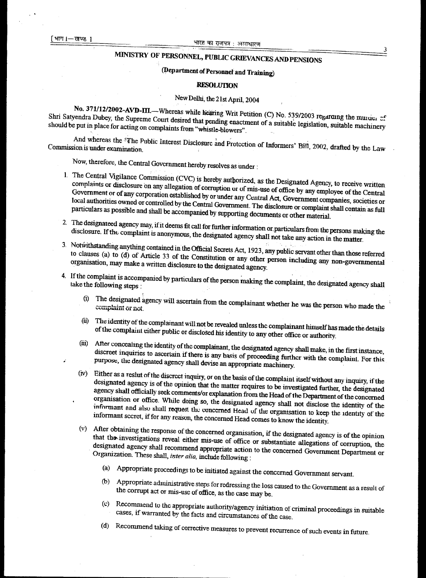#### खण्ड**।**

#### भारत का राजपत्र : असाधारण

# **MINISTRY OF PERSONNEL, PUBLIC GRIEVANCES AND PENSIONS**

# **(Department of Personnel and Training)**

#### **RESOLUTION**

# **New Delhi, the 21st April, 2004**

No. 371/12/2002-AVD-III.—Whereas while hearing Writ Petition (C) No. 539/2003 regarding the muities of  $\frac{1}{2}$  should be not a Dubey, the Supreme Court desired that pending enactment of a suitable legislation, suitable machinery  $\frac{1}{2}$ **should be put in place for acting on complaints from "whistle-blowers".** 

And whereas the <sup>5</sup>The Public Interest Disclosure and Protection of Informers' Bill, 2002, drafted by the Law Commission is under examination

**Now, therefore, the Central Government hereby resolves as under :** 

- **1. The Central Vigilance Commission (CVC) is hereby authorized, as the Designated Agency, to receive written complaints or disclosure on any allegation of corruption or of mis-use of office by any employee of the Central Government or of any corporation established by or under any Central Act, Government companies, societies or local authorities owned or controlled by the Central Government. The disclosure or complaint shall contain as full particulars as possible and shall be accompanied by supporting documents or other material.**
- **2. The designateed agency may, if it deems fit call for further information or.particuiars from the persons making the disclosure. If the complaint is anonymous, the designated agency shall not take any action in the matter.**
- **3. NotWithstanding anything contained in the Official Secrets Act, 1923, any public servant other than those referred to clauses (a) to (d) of Article 33 of the Constitution or any other person including any non-governmental organisation, may make a written disclosure to the designated agency.**
- 4. If the complaint is accompanied by particulars of the person making the complaint, the designated agency shall
	- **(i) The designated agency will ascertain from the complainant whether he was the person who made the complaint or not.**
	- **The identity of the complainant will not be revealed unless the complainant himself has made the details**   $(ii)$ **of the complaint either public or disclosed his identity to any other office or authority.**
	- After concealing the identity of the complainant, the designated agency shall make, in the first instance, discreet inquiries to ascertain if there is any basis of proceeding further with the complaint. For this **purpose, the designated agency shall devise an appropriate machinery**  (id)
	- **(iv) Either as a reslut of the discreet inquiry, or on the basis of the complaint itself without any inquiry if the designated agency is of the opinion that the matter requires to be investigated further, the designated agency shall officially seek comments/or explanation from the Head of the Department of the concerned organisation or office. While doing so, the designated agency shall not disclose the identity of the informant and also shall request the concerned Head of the organisation to keep the identity of the informant secret, if for any reason, the concerned Head comes to know the identity.**
	- **(v) After obtaining the response of the concerned organisation, if the designated agency is of the opinion that the, investigations reveal either mis-use of office or substantiate allegations of corruption, the designated agency shall recommend appropriate action to the concerned Government Department or Organization. These shall, inter alia, include following :** 
		- **(a) Appropriate proceedings to be initiated against the concerned Government servant.**
		- **(b) Appropriate administrative steps for redressing the loss caused to the Government as a result of the corrupt act or mis-use of office, as the case may be.**
		- **(c) Recommend to the appropriate authority/agency initiation** of **criminal proceedings in suitable cases, if warranted by the facts and circumstances of the case.**
		- **(d) Recommend taking of corrective measures to prevent recurrence of such events in future.**

3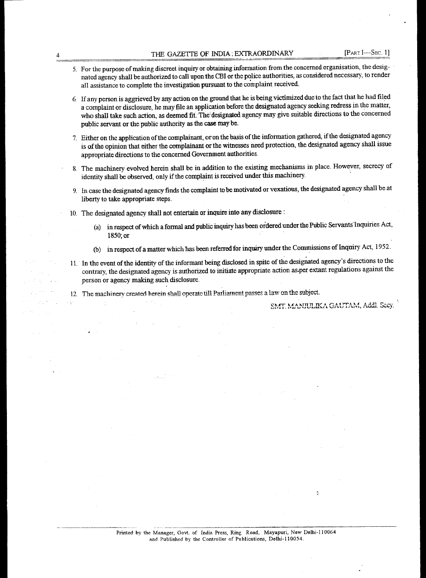- 5. For the purpose of making discreet inquiry or obtaining information from the concerned organisation, the designated agency shall be authorized to call upon the CBI or the police authorities, as considered necessary, to render all assistance to complete the investigation pursuant to the complaint received.
- 6. If any person is aggrieved by any action on the ground that he is being victimized due to the fact that he had filed a complaint or disclosure, he may file an application before the designated agency seeking redress in the matter, who shall take such action, as deemed fit. The' designated agency may give suitable directions to the concerned public servant or the public authority as the case may be.
- 7. Either on the application of the complainant, or on the basis of the information gathered, if the designated agency is of the opinion that either the complainant or the witnesses need protection, the designated agency shall issue appropriate directions to the concerned Government authorities.
- 8. The machinery evolved herein shall be in addition to the existing mechanisms in place. However, secrecy of identity shall be observed, only if the complaint is received under this machinery.
- 9. In case the designated agency finds the complaint to be motivated or vexatious, the designated agency shall be at liberty to take appropriate steps.
- 10. The designated agency shall not entertain or inquire into any disclosure :
	- (a) in respect of which a formal and public inquiry has been ordered under the Public Servants'Inquiries Act, 1850; or
	- (b) in respect of a matter which has been referred for inquiry under the Commissions of Inquiry Act, 1952.
- 11. In the event of the identity of the informant being disclosed in spite of the designated agency's directions to the contrary, the designated agency is authorized to initiate appropriate action as.per extant regulations against the person or agency making such disclosure.
- 12. The machinery created herein shall operate till Parliament passes a law on the subject.

 $\texttt{SMT}\text{.}\text{MANJULIKA GAUTAM}\text{, Addl.}$  *Sccy.*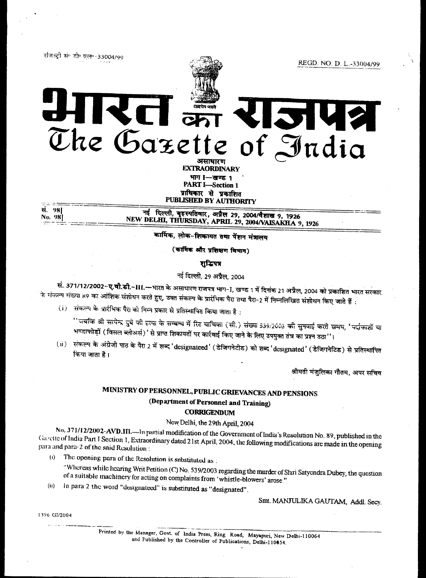रजिस्ट्री सं॰ डी॰ एल॰-33004/99



 $\begin{array}{ccc} \mathbf{1} & \frac{1}{\text{min and}} \\ \hline \mathbf{1} & \mathbf{1} \end{array}$  $\mathbf{X}$ **1214** The Gazette of India

**EXTRAORDINARY** भाग I-सण्ड 1 **PART I-Section 1** प्राधिकार से प्रकाशित PUBLISHED BY AUTHORITY

सं. 981 No. 98

नई दिल्ली, बृहस्पतिवार, अप्रैल 29, 2004/वैशाख 9, 1926<br>NEW DELHI, THURSDAY, APRIL 29, 2004/VAISAKHA 9, 1926

कार्मिक, लोक-शिकायत तथा पेंशन मंत्रालय

(कार्मिक और प्रशिक्षण विभाग)

शब्दिपत्र

नई दिल्ली, 29 अप्रैल, 2004

सं. 371/12/2002-ए.वी.डी.-III.—भारत के असाधारण राजपत्र भाग-I, खण्ड 1 में दिनांक 21 अप्रैल, 2004 को प्रकाशित भारत सरकार के संकल्प संख्या 89 का आंशिक संशोधन करते हुए, उक्त संकल्प के प्रारंभिक पैरा तथा पैरा-2 में निम्नलिखित संशोधन किए जाते हैं :

(i) संकल्प के प्रारंभिक पैरा को निम्न प्रकार से प्रतिस्थापित किया जाता है:

''जबकि श्री सत्येन्द्र दुबे को रुत्या के सम्बन्ध में रिट याचिका (सी.) संख्या 539/2003 <mark>को सुन</mark>वाई करते समय, 'पर्दाफाशों या भण्डाफोड़ों (विसल ब्लोअर्स)' से प्राप्त शिकायतों पर कार्रवाई किए जाने के लिए उपयुक्त तंत्र का प्रश्न उठा''।

(ii) संकल्प के अंग्रेजी पाठ के पैरा 2 में शब्द 'designateed' (डेजिगनेटीड) को <mark>शब्द 'designated' (डेजिगनेटिड) से प्र</mark>तिस्थापित किया जाता है।

श्रीमती मंजूलिका गौतम, अपर सचिव

# MINISTRY OF PERSONNEL, PUBLIC GRIEVANCES AND PENSIONS (Department of Personnel and Training) **CORRIGENDUM**

# New Delhi, the 29th April, 2004

No. 371/12/2002-AVD.III.—In partial modification of the Government of India's Resolution No. 89, published in the Gazette of India Part I Section 1, Extraordinary dated 21st April, 2004, the following modifications are made in the opening para and para-2 of the said Resolution :

The opening para of the Resolution is substituted as:  $(i)$ 

"Whereas while hearing Writ Petition (C) No. 539/2003 regarding the murder of Shri Satyendra Dubey, the question of a suitable machinery for acting on complaints from 'whistle-blowers' arose."

In para 2 the word "designateed" is substituted as "designated".  $(ii)$ 

Smt. MANJULIKA GAUTAM, Addl. Secy.

1396 GI/2004

Printed by the Manager, Govt. of India Press, Ring Road, Mayapuri, New Delhi-110064 and Published by the Controller of Publications, Delhi-110854.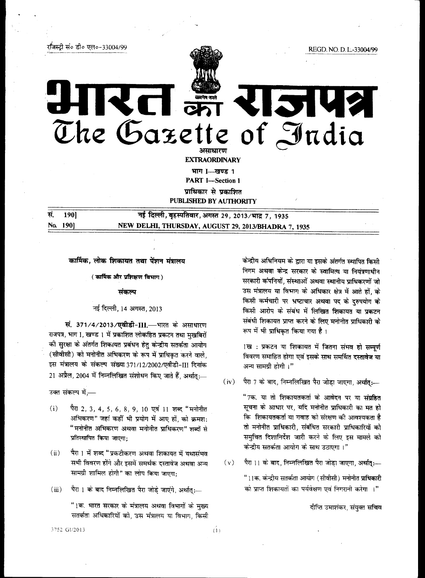रजिस्ट्री सं० डी० एल०-33004/99



REGD. NO. D. L.-33004/99

# The Gazette of India अमाधारण

**EXTRAORDINARY** 

भाग I-खण्ड १

**PART I-Section 1** 

प्राधिकार से प्रकाशित

**PUBLISHED BY AUTHORITY** 

190] सं. No. 1901

नई दिल्ली, बृहस्पतिवार, अगस्त 29, 2013/भाद्र 7, 1935 NEW DELHI, THURSDAY, AUGUST 29, 2013/BHADRA 7, 1935

कार्मिक, लोक शिकायत तथा पेंशन मंत्रालय

(कार्मिक और प्रशिक्षण विभाग)

#### संकल्प

#### नई दिल्ली, 14 अगस्त, 2013

सं. 371/4/2013/एवीडी-III.-भारत के असाधारण राजपत्र, भाग I, खण्ड 1 में प्रकाशित लोकहित प्रकटन तथा मुखबिरों की सुरक्षा के अंतर्गत शिकायत प्रबंधन हेतु केन्द्रीय सतर्कता आयोग (सीवीसी) को मनोनीत अभिकरण के रूप में प्राधिकृत करने वाले, इस मंत्रालय के संकल्प संख्या 371/12/2002/एवीडी-III दिनांक 21 अप्रैल, 2004 में निम्नलिखित संशोधन किए जाते हैं, अर्थात:-

उक्त संकल्प में,—

- पैरा 2, 3, 4, 5, 6, 8, 9, 10 एवं 11 शब्द "मनोनीत  $(i)$ अभिकरण" जहां कहीं भी प्रयोग में आए हों, को क्रमश: "मनोनीत अभिकरण अथवा मनोनीत प्राधिकरण" शब्दों से प्रतिस्थापित किया जाएगा:
- पैरा । में शब्द "प्रकटीकरण अथवा शिकायत में यथासंभव  $(ii)$ सभी विवरण होंगे और इसमें समर्थक दस्तावेज अथवा अन्य सामग्री शामिल होगी" का लोप किया जाएगा:
- $(iii)$ पैरा 1 के बाद निम्नलिखित पैरा जोड़े जाएंगे, अर्थात्:--

"1क. भारत सरकार के मंत्रालय अथवा विभागों के मुख्य सतर्कता अधिकारियों को, उस मंत्रालय या विभाग, किसी केन्द्रीय अधिनियम के द्वारा या इसके अंतर्गत स्थापित किसी निगम अथवा केन्द्र सरकार के स्वामित्व या नियंत्रणाधीन सरकारी कंपनियों, संस्थाओं अथवा स्थानीय प्राधिकरणों जो उस मंत्रालय या विभाग के अधिकार क्षेत्र में आते हों, के किसी कर्मचारी पर भ्रष्टाचार अथवा पद के दुरुपयोग के किसी आरोप के संबंध में लिखित शिकायत या प्रकटन संबंधी शिकायत प्राप्त करने के लिए मनोनीत प्राधिकारी के रूप में भी प्राधिकृत किया गया है।

1ख: प्रकटन या शिकायत में जितना संभव हो सम्पूर्ण विवरण समाहित होगा एवं इसके साथ समर्थित दस्तावेज या अन्य सामग्री होगी ।"

 $(iv)$ पैरा 7 के बाद, निम्नलिखित पैरा जोडा जाएगा, अर्थात:---

> "7क. या तो शिकायतकर्ता के आवेदन पर या संग्रहित सूचना के आधार पर, यदि मनोनीत प्राधिकारी का मत हो कि शिकायतकर्ता या गवाह को संरक्षण की आवश्यकता है तो मनोनीत प्राधिकारी, संबंधित सरकारी प्राधिकारियों को समुचित दिशानिर्देश जारी करने के लिए इस मामले को केन्द्रीय सतर्कता आयोग के साथ उठाएगा।"

पैरा 11 के बाद, निम्नलिखित पैरा जोड़ा जाएगा, अर्थात्:—  $(v)$ 

> "11क. केन्द्रीय सतर्कता आयोग (सीवीसी) मनोनीत प्राधिकारी को प्राप्त शिकायतों का पर्यवेक्षण एवं निगरानी करेगा ।"

> > दीप्ति उमाशंकर, संयुक्त स**चिव**